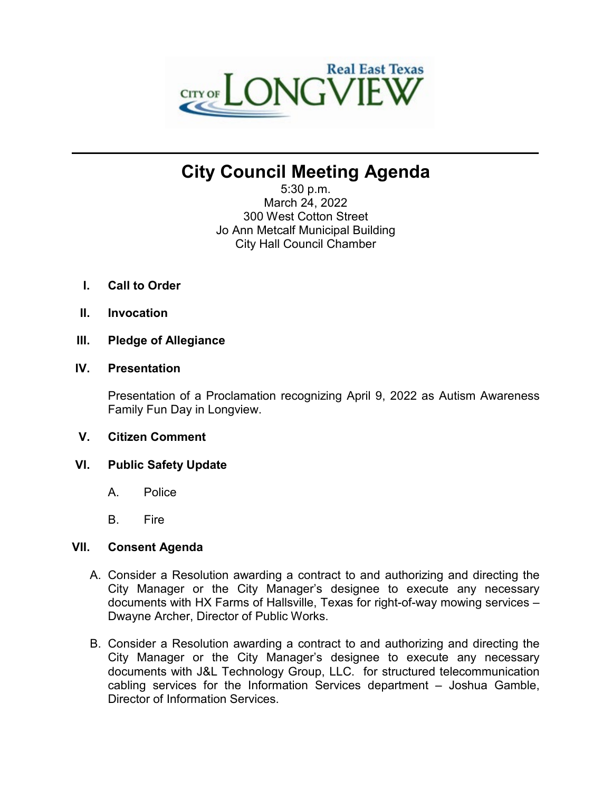

# **City Council Meeting Agenda**

**\_\_\_\_\_\_\_\_\_\_\_\_\_\_\_\_\_\_\_\_\_\_\_\_\_\_\_\_\_\_\_\_\_\_\_\_\_\_\_\_\_\_\_\_\_\_\_\_\_\_\_\_\_\_\_\_\_\_\_\_\_\_\_\_\_\_\_\_\_\_**

5:30 p.m. March 24, 2022 300 West Cotton Street Jo Ann Metcalf Municipal Building City Hall Council Chamber

- **I. Call to Order**
- **II. Invocation**
- **III. Pledge of Allegiance**

## **IV. Presentation**

Presentation of a Proclamation recognizing April 9, 2022 as Autism Awareness Family Fun Day in Longview.

- **V. Citizen Comment**
- **VI. Public Safety Update**
	- A. Police
	- B. Fire

## **VII. Consent Agenda**

- A. Consider a Resolution awarding a contract to and authorizing and directing the City Manager or the City Manager's designee to execute any necessary documents with HX Farms of Hallsville, Texas for right-of-way mowing services – Dwayne Archer, Director of Public Works.
- B. Consider a Resolution awarding a contract to and authorizing and directing the City Manager or the City Manager's designee to execute any necessary documents with J&L Technology Group, LLC. for structured telecommunication cabling services for the Information Services department – Joshua Gamble, Director of Information Services.